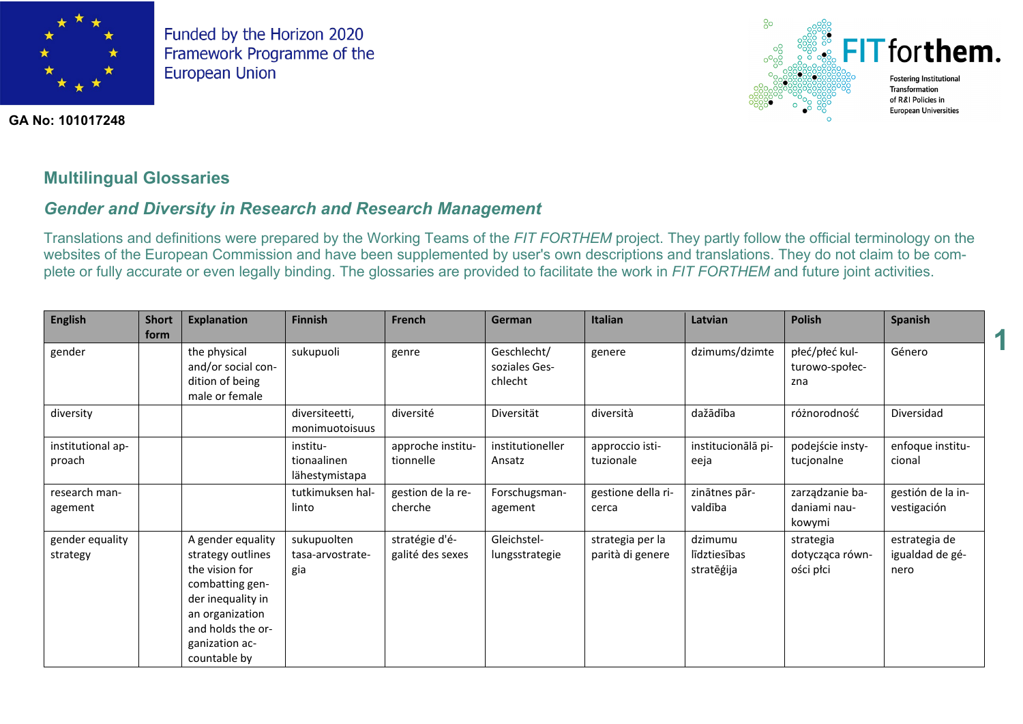

**GA No: 101017248**



**1**

## **Multilingual Glossaries**

## *Gender and Diversity in Research and Research Management*

Translations and definitions were prepared by the Working Teams of the *FIT FORTHEM* project. They partly follow the official terminology on the websites of the European Commission and have been supplemented by user's own descriptions and translations. They do not claim to be complete or fully accurate or even legally binding. The glossaries are provided to facilitate the work in *FIT FORTHEM* and future joint activities.

| <b>English</b>              | <b>Short</b><br>form | <b>Explanation</b>                                                                                                                                                         | <b>Finnish</b>                            | French                             | German                                  | <b>Italian</b>                       | Latvian                               | <b>Polish</b>                             | <b>Spanish</b>                           |
|-----------------------------|----------------------|----------------------------------------------------------------------------------------------------------------------------------------------------------------------------|-------------------------------------------|------------------------------------|-----------------------------------------|--------------------------------------|---------------------------------------|-------------------------------------------|------------------------------------------|
| gender                      |                      | the physical<br>and/or social con-<br>dition of being<br>male or female                                                                                                    | sukupuoli                                 | genre                              | Geschlecht/<br>soziales Ges-<br>chlecht | genere                               | dzimums/dzimte                        | płeć/płeć kul-<br>turowo-społec-<br>zna   | Género                                   |
| diversity                   |                      |                                                                                                                                                                            | diversiteetti,<br>monimuotoisuus          | diversité                          | Diversität                              | diversità                            | dažādība                              | różnorodność                              | Diversidad                               |
| institutional ap-<br>proach |                      |                                                                                                                                                                            | institu-<br>tionaalinen<br>lähestymistapa | approche institu-<br>tionnelle     | institutioneller<br>Ansatz              | approccio isti-<br>tuzionale         | institucionālā pi-<br>eeja            | podejście insty-<br>tucjonalne            | enfoque institu-<br>cional               |
| research man-<br>agement    |                      |                                                                                                                                                                            | tutkimuksen hal-<br>linto                 | gestion de la re-<br>cherche       | Forschugsman-<br>agement                | gestione della ri-<br>cerca          | zinātnes pār-<br>valdība              | zarządzanie ba-<br>daniami nau-<br>kowymi | gestión de la in-<br>vestigación         |
| gender equality<br>strategy |                      | A gender equality<br>strategy outlines<br>the vision for<br>combatting gen-<br>der inequality in<br>an organization<br>and holds the or-<br>ganization ac-<br>countable by | sukupuolten<br>tasa-arvostrate-<br>gia    | stratégie d'é-<br>galité des sexes | Gleichstel-<br>lungsstrategie           | strategia per la<br>parità di genere | dzimumu<br>līdztiesības<br>stratēģija | strategia<br>dotycząca równ-<br>ości płci | estrategia de<br>igualdad de gé-<br>nero |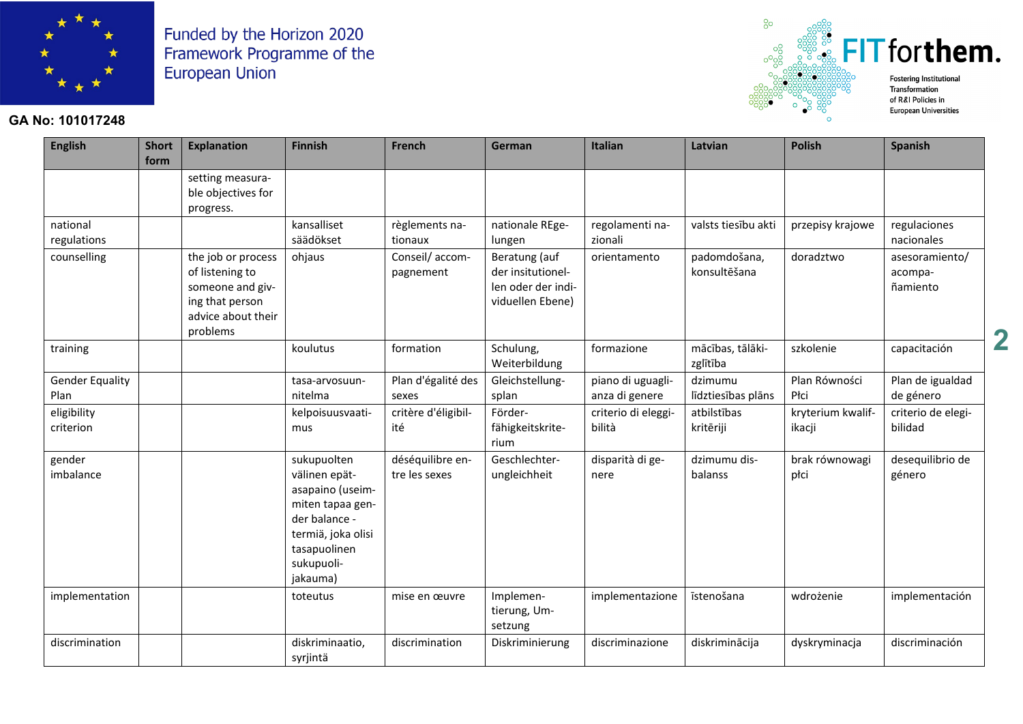

#### **GA No: 101017248**



**2**

**English Short form Explanation Finnish French German Italian Latvian Polish Spanish** setting measurable objectives for progress. national regulations kansalliset säädökset règlements nationaux nationale REgelungen regolamenti nazionali valsts tiesību akti  $\parallel$  przepisy krajowe  $\parallel$  regulaciones nacionales  $\frac{1}{1}$  counselling  $\frac{1}{1}$  the job or process of listening to someone and giving that person advice about their problems ohjaus Conseil/ accompagnement Beratung (auf der insitutionellen oder der individuellen Ebene) orientamento la padomdošana. konsultēšana doradztwo asesoramiento/ acompañamiento training and the contract of the coulutus formation substitution schulung, Weiterbildung formazione mācības, tālākizglītība szkolenie capacitación Gender Equality Plan tasa-arvosuunnitelma Plan d'égalité des sexes Gleichstellungsplan piano di uguaglianza di genere dzimumu līdztiesības plāns Plan Równości Płci Plan de igualdad de género eligibility criterion kelpoisuusvaatimus critère d'éligibilité Förderfähigkeitskriterium criterio di eleggibilità atbilstības kritēriji kryterium kwalifikacji criterio de elegibilidad gender imbalance sukupuolten välinen epätasapaino (useimmiten tapaa gender balance termiä, joka olisi tasapuolinen sukupuolijakauma) déséquilibre entre les sexes Geschlechterungleichheit disparità di genere dzimumu disbalanss brak równowagi płci desequilibrio de género implementation  $\vert$  toteutus  $\vert$  mise en œuvre Implementierung, Umsetzung implementazione i īstenošana i wdrożenie implementación discrimination diskriminaatio, syrjintä discrimination Diskriminierung discriminazione diskriminācija dyskryminacja discriminación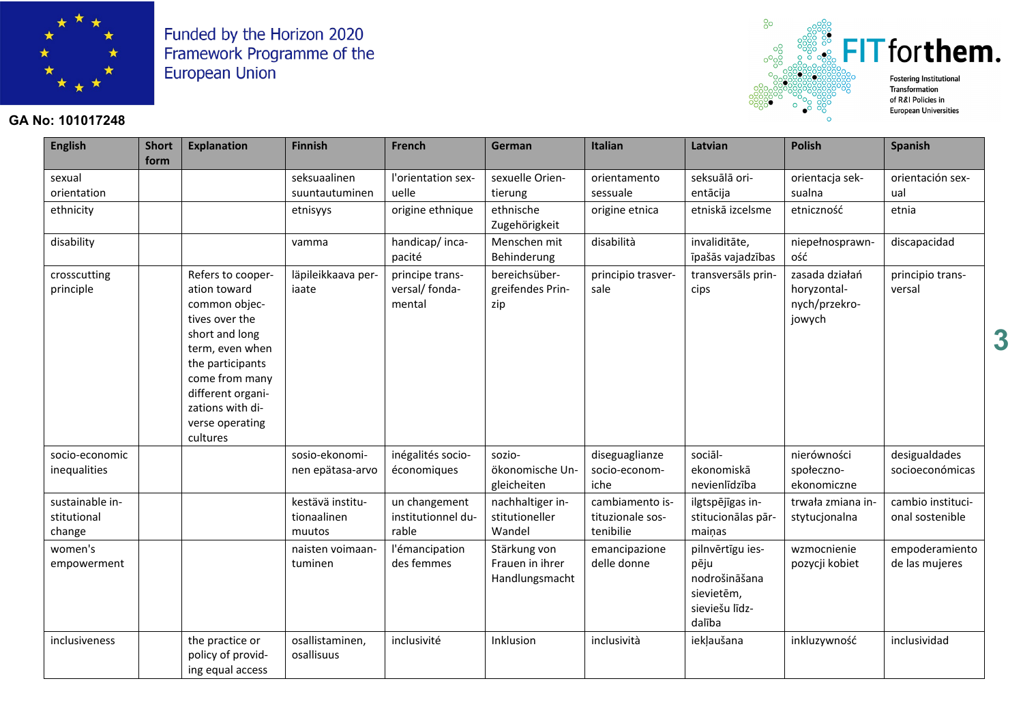

### GA No: 101017248



| <b>English</b>                           | <b>Short</b> | <b>Explanation</b>                                                                                                                                                                                                      | <b>Finnish</b>                            | <b>French</b>                                | German                                            | Italian                                          | Latvian                                                                             | <b>Polish</b>                                            | Spanish                              |
|------------------------------------------|--------------|-------------------------------------------------------------------------------------------------------------------------------------------------------------------------------------------------------------------------|-------------------------------------------|----------------------------------------------|---------------------------------------------------|--------------------------------------------------|-------------------------------------------------------------------------------------|----------------------------------------------------------|--------------------------------------|
|                                          | form         |                                                                                                                                                                                                                         |                                           |                                              |                                                   |                                                  |                                                                                     |                                                          |                                      |
| sexual                                   |              |                                                                                                                                                                                                                         | seksuaalinen                              | l'orientation sex-                           | sexuelle Orien-                                   | orientamento                                     | seksuālā ori-                                                                       | orientacja sek-                                          | orientación sex-                     |
| orientation                              |              |                                                                                                                                                                                                                         | suuntautuminen                            | uelle                                        | tierung                                           | sessuale                                         | entācija                                                                            | sualna                                                   | ual                                  |
| ethnicity                                |              |                                                                                                                                                                                                                         | etnisyys                                  | origine ethnique                             | ethnische<br>Zugehörigkeit                        | origine etnica                                   | etniskā izcelsme                                                                    | etniczność                                               | etnia                                |
| disability                               |              |                                                                                                                                                                                                                         | vamma                                     | handicap/inca-<br>pacité                     | Menschen mit<br>Behinderung                       | disabilità                                       | invaliditāte,<br>īpašās vajadzības                                                  | niepełnosprawn-<br>ość                                   | discapacidad                         |
| crosscutting<br>principle                |              | Refers to cooper-<br>ation toward<br>common objec-<br>tives over the<br>short and long<br>term, even when<br>the participants<br>come from many<br>different organi-<br>zations with di-<br>verse operating<br>cultures | läpileikkaava per-<br>iaate               | principe trans-<br>versal/ fonda-<br>mental  | bereichsüber-<br>greifendes Prin-<br>zip          | principio trasver-<br>sale                       | transversāls prin-<br>cips                                                          | zasada działań<br>horyzontal-<br>nych/przekro-<br>jowych | principio trans-<br>versal           |
| socio-economic<br>inequalities           |              |                                                                                                                                                                                                                         | sosio-ekonomi-<br>nen epätasa-arvo        | inégalités socio-<br>économiques             | sozio-<br>ökonomische Un-<br>gleicheiten          | diseguaglianze<br>socio-econom-<br>iche          | sociāl-<br>ekonomiskā<br>nevienlīdzība                                              | nierówności<br>społeczno-<br>ekonomiczne                 | desigualdades<br>socioeconómicas     |
| sustainable in-<br>stitutional<br>change |              |                                                                                                                                                                                                                         | kestävä institu-<br>tionaalinen<br>muutos | un changement<br>institutionnel du-<br>rable | nachhaltiger in-<br>stitutioneller<br>Wandel      | cambiamento is-<br>tituzionale sos-<br>tenibilie | ilgtspējīgas in-<br>stitucionālas pār-<br>mainas                                    | trwała zmiana in-<br>stytucjonalna                       | cambio instituci-<br>onal sostenible |
| women's<br>empowerment                   |              |                                                                                                                                                                                                                         | naisten voimaan-<br>tuminen               | l'émancipation<br>des femmes                 | Stärkung von<br>Frauen in ihrer<br>Handlungsmacht | emancipazione<br>delle donne                     | pilnvērtīgu ies-<br>pēju<br>nodrošināšana<br>sievietēm,<br>sieviešu līdz-<br>dalība | wzmocnienie<br>pozycji kobiet                            | empoderamiento<br>de las mujeres     |
| <i>inclusiveness</i>                     |              | the practice or<br>policy of provid-<br>ing equal access                                                                                                                                                                | osallistaminen,<br>osallisuus             | inclusivité                                  | Inklusion                                         | inclusività                                      | iekļaušana                                                                          | inkluzywność                                             | inclusividad                         |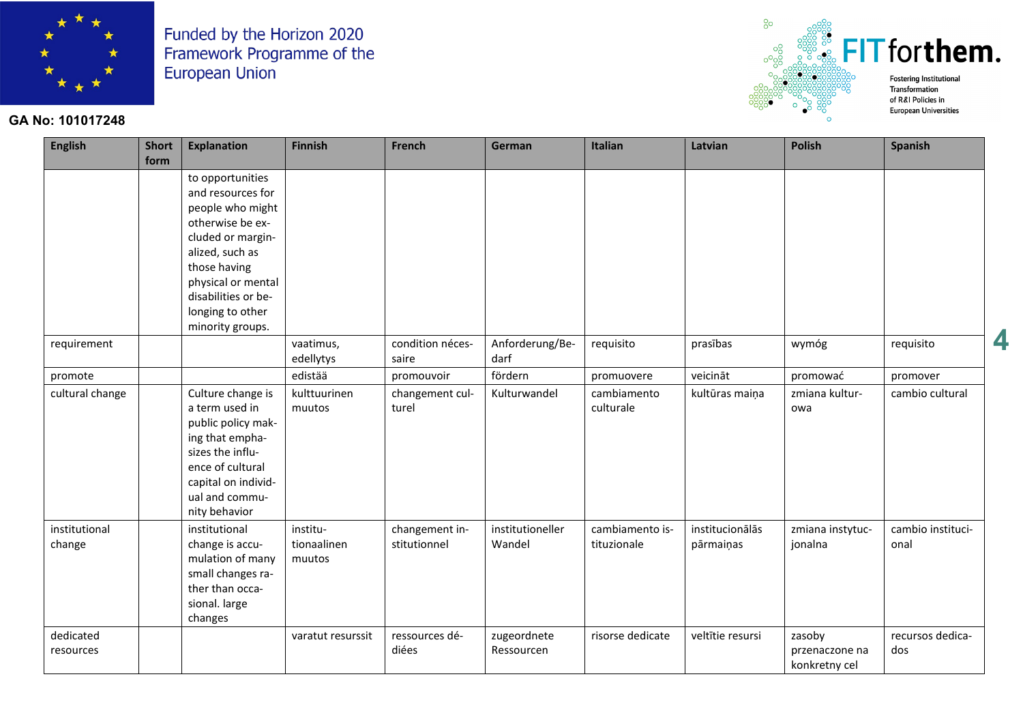

#### GA No: 101017248



| <b>English</b>          | <b>Short</b><br>form | <b>Explanation</b>                                                                                                                                                                                                         | <b>Finnish</b>                    | French                         | German                     | Italian                        | Latvian                      | <b>Polish</b>                             | <b>Spanish</b>            |
|-------------------------|----------------------|----------------------------------------------------------------------------------------------------------------------------------------------------------------------------------------------------------------------------|-----------------------------------|--------------------------------|----------------------------|--------------------------------|------------------------------|-------------------------------------------|---------------------------|
|                         |                      | to opportunities<br>and resources for<br>people who might<br>otherwise be ex-<br>cluded or margin-<br>alized, such as<br>those having<br>physical or mental<br>disabilities or be-<br>longing to other<br>minority groups. |                                   |                                |                            |                                |                              |                                           |                           |
| requirement             |                      |                                                                                                                                                                                                                            | vaatimus,<br>edellytys            | condition néces-<br>saire      | Anforderung/Be-<br>darf    | requisito                      | prasības                     | wymóg                                     | requisito                 |
| promote                 |                      |                                                                                                                                                                                                                            | edistää                           | promouvoir                     | fördern                    | promuovere                     | veicināt                     | promować                                  | promover                  |
| cultural change         |                      | Culture change is<br>a term used in<br>public policy mak-<br>ing that empha-<br>sizes the influ-<br>ence of cultural<br>capital on individ-<br>ual and commu-<br>nity behavior                                             | kulttuurinen<br>muutos            | changement cul-<br>turel       | Kulturwandel               | cambiamento<br>culturale       | kultūras maiņa               | zmiana kultur-<br>owa                     | cambio cultural           |
| institutional<br>change |                      | institutional<br>change is accu-<br>mulation of many<br>small changes ra-<br>ther than occa-<br>sional. large<br>changes                                                                                                   | institu-<br>tionaalinen<br>muutos | changement in-<br>stitutionnel | institutioneller<br>Wandel | cambiamento is-<br>tituzionale | institucionālās<br>pārmaiņas | zmiana instytuc-<br>jonalna               | cambio instituci-<br>onal |
| dedicated<br>resources  |                      |                                                                                                                                                                                                                            | varatut resurssit                 | ressources dé-<br>diées        | zugeordnete<br>Ressourcen  | risorse dedicate               | veltītie resursi             | zasoby<br>przenaczone na<br>konkretny cel | recursos dedica-<br>dos   |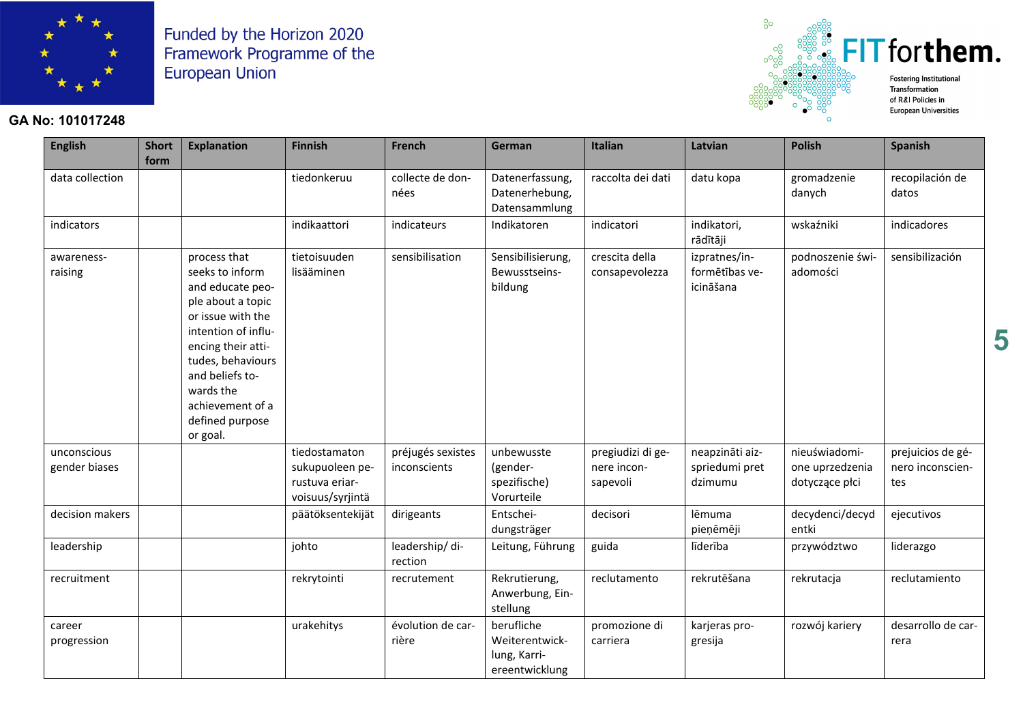

### **GA No: 101017248**



| <b>English</b>               | <b>Short</b><br>form | <b>Explanation</b>                                                                                                                                                                                                                                 | <b>Finnish</b>                                                         | <b>French</b>                     | German                                                         | Italian                                      | Latvian                                      | <b>Polish</b>                                      | <b>Spanish</b>                               |
|------------------------------|----------------------|----------------------------------------------------------------------------------------------------------------------------------------------------------------------------------------------------------------------------------------------------|------------------------------------------------------------------------|-----------------------------------|----------------------------------------------------------------|----------------------------------------------|----------------------------------------------|----------------------------------------------------|----------------------------------------------|
| data collection              |                      |                                                                                                                                                                                                                                                    | tiedonkeruu                                                            | collecte de don-<br>nées          | Datenerfassung,<br>Datenerhebung,<br>Datensammlung             | raccolta dei dati                            | datu kopa                                    | gromadzenie<br>danych                              | recopilación de<br>datos                     |
| indicators                   |                      |                                                                                                                                                                                                                                                    | indikaattori                                                           | indicateurs                       | Indikatoren                                                    | indicatori                                   | indikatori,<br>rādītāji                      | wskaźniki                                          | indicadores                                  |
| awareness-<br>raising        |                      | process that<br>seeks to inform<br>and educate peo-<br>ple about a topic<br>or issue with the<br>intention of influ-<br>encing their atti-<br>tudes, behaviours<br>and beliefs to-<br>wards the<br>achievement of a<br>defined purpose<br>or goal. | tietoisuuden<br>lisääminen                                             | sensibilisation                   | Sensibilisierung,<br>Bewusstseins-<br>bildung                  | crescita della<br>consapevolezza             | izpratnes/in-<br>formētības ve-<br>icināšana | podnoszenie świ-<br>adomości                       | sensibilización                              |
| unconscious<br>gender biases |                      |                                                                                                                                                                                                                                                    | tiedostamaton<br>sukupuoleen pe-<br>rustuva eriar-<br>voisuus/syrjintä | préjugés sexistes<br>inconscients | unbewusste<br>(gender-<br>spezifische)<br>Vorurteile           | pregiudizi di ge-<br>nere incon-<br>sapevoli | neapzināti aiz-<br>spriedumi pret<br>dzimumu | nieuświadomi-<br>one uprzedzenia<br>dotyczące płci | prejuicios de gé-<br>nero inconscien-<br>tes |
| decision makers              |                      |                                                                                                                                                                                                                                                    | päätöksentekijät                                                       | dirigeants                        | Entschei-<br>dungsträger                                       | decisori                                     | lēmuma<br>pieņēmēji                          | decydenci/decyd<br>entki                           | ejecutivos                                   |
| leadership                   |                      |                                                                                                                                                                                                                                                    | johto                                                                  | leadership/di-<br>rection         | Leitung, Führung                                               | guida                                        | līderība                                     | przywództwo                                        | liderazgo                                    |
| recruitment                  |                      |                                                                                                                                                                                                                                                    | rekrytointi                                                            | recrutement                       | Rekrutierung,<br>Anwerbung, Ein-<br>stellung                   | reclutamento                                 | rekrutēšana                                  | rekrutacja                                         | reclutamiento                                |
| career<br>progression        |                      |                                                                                                                                                                                                                                                    | urakehitys                                                             | évolution de car-<br>rière        | berufliche<br>Weiterentwick-<br>lung, Karri-<br>ereentwicklung | promozione di<br>carriera                    | karjeras pro-<br>gresija                     | rozwój kariery                                     | desarrollo de car-<br>rera                   |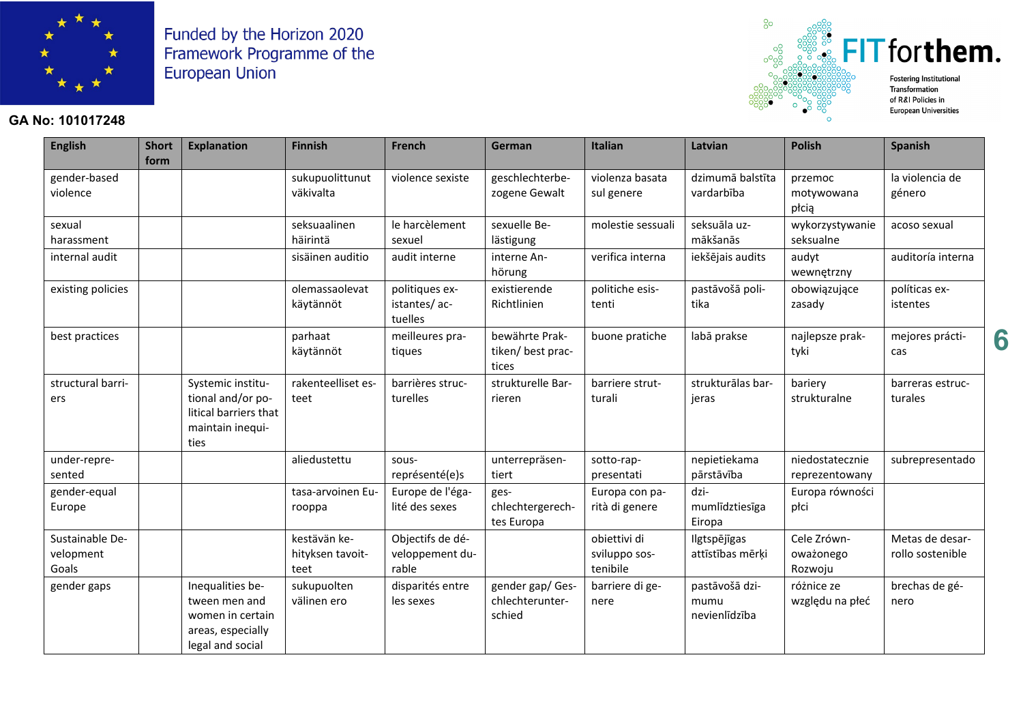

### **GA No: 101017248**



 $^{8}$ 

**Fostering Institutional European Universities** 

| <b>English</b>                        | <b>Short</b><br>form | <b>Explanation</b>                                                                             | <b>Finnish</b>                           | <b>French</b>                                | German                                        | Italian                                   | Latvian                                 | <b>Polish</b>                       | <b>Spanish</b>                      |
|---------------------------------------|----------------------|------------------------------------------------------------------------------------------------|------------------------------------------|----------------------------------------------|-----------------------------------------------|-------------------------------------------|-----------------------------------------|-------------------------------------|-------------------------------------|
| gender-based<br>violence              |                      |                                                                                                | sukupuolittunut<br>väkivalta             | violence sexiste                             | geschlechterbe-<br>zogene Gewalt              | violenza basata<br>sul genere             | dzimumā balstīta<br>vardarbība          | przemoc<br>motywowana<br>płcią      | la violencia de<br>género           |
| sexual<br>harassment                  |                      |                                                                                                | seksuaalinen<br>häirintä                 | le harcèlement<br>sexuel                     | sexuelle Be-<br>lästigung                     | molestie sessuali                         | seksuāla uz-<br>mākšanās                | wykorzystywanie<br>seksualne        | acoso sexual                        |
| internal audit                        |                      |                                                                                                | sisäinen auditio                         | audit interne                                | interne An-<br>hörung                         | verifica interna                          | iekšējais audits                        | audyt<br>wewnętrzny                 | auditoría interna                   |
| existing policies                     |                      |                                                                                                | olemassaolevat<br>käytännöt              | politiques ex-<br>istantes/ac-<br>tuelles    | existierende<br>Richtlinien                   | politiche esis-<br>tenti                  | pastāvošā poli-<br>tika                 | obowiązujące<br>zasady              | políticas ex-<br>istentes           |
| best practices                        |                      |                                                                                                | parhaat<br>käytännöt                     | meilleures pra-<br>tiques                    | bewährte Prak-<br>tiken/ best prac-<br>tices  | buone pratiche                            | labā prakse                             | najlepsze prak-<br>tyki             | mejores prácti-<br>cas              |
| structural barri-<br>ers              |                      | Systemic institu-<br>tional and/or po-<br>litical barriers that<br>maintain inequi-<br>ties    | rakenteelliset es-<br>teet               | barrières struc-<br>turelles                 | strukturelle Bar-<br>rieren                   | barriere strut-<br>turali                 | strukturālas bar-<br>jeras              | bariery<br>strukturalne             | barreras estruc-<br>turales         |
| under-repre-<br>sented                |                      |                                                                                                | aliedustettu                             | sous-<br>représenté(e)s                      | unterrepräsen-<br>tiert                       | sotto-rap-<br>presentati                  | nepietiekama<br>pārstāvība              | niedostatecznie<br>reprezentowany   | subrepresentado                     |
| gender-equal<br>Europe                |                      |                                                                                                | tasa-arvoinen Eu-<br>rooppa              | Europe de l'éga-<br>lité des sexes           | ges-<br>chlechtergerech-<br>tes Europa        | Europa con pa-<br>rità di genere          | dzi-<br>mumlīdztiesīga<br>Eiropa        | Europa równości<br>płci             |                                     |
| Sustainable De-<br>velopment<br>Goals |                      |                                                                                                | kestävän ke-<br>hityksen tavoit-<br>teet | Objectifs de dé-<br>veloppement du-<br>rable |                                               | obiettivi di<br>sviluppo sos-<br>tenibile | Ilgtspējīgas<br>attīstības mērķi        | Cele Zrówn-<br>oważonego<br>Rozwoju | Metas de desar-<br>rollo sostenible |
| gender gaps                           |                      | Inequalities be-<br>tween men and<br>women in certain<br>areas, especially<br>legal and social | sukupuolten<br>välinen ero               | disparités entre<br>les sexes                | gender gap/ Ges-<br>chlechterunter-<br>schied | barriere di ge-<br>nere                   | pastāvošā dzi-<br>mumu<br>nevienlīdzība | różnice ze<br>względu na płeć       | brechas de gé-<br>nero              |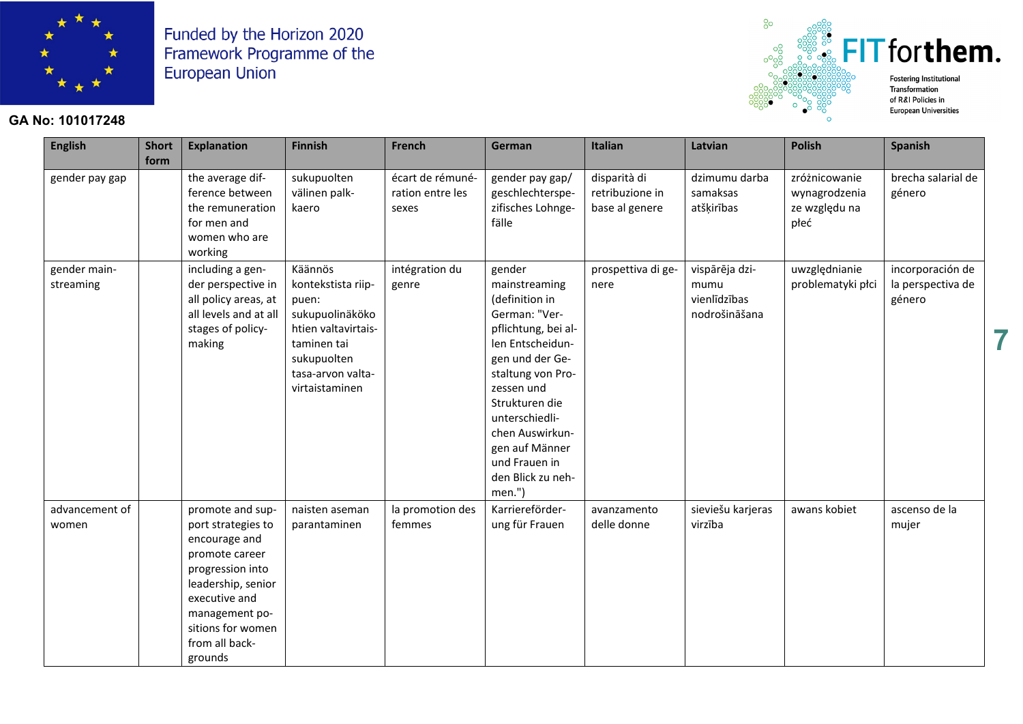

### **GA No: 101017248**



**European Universities** 

| <b>English</b>            | <b>Short</b><br>form | <b>Explanation</b>                                                                                                                                                                                       | <b>Finnish</b>                                                                                                                                        | <b>French</b>                                 | German                                                                                                                                                                                                                                                                               | <b>Italian</b>                                    | Latvian                                                 | <b>Polish</b>                                           | <b>Spanish</b>                                  |
|---------------------------|----------------------|----------------------------------------------------------------------------------------------------------------------------------------------------------------------------------------------------------|-------------------------------------------------------------------------------------------------------------------------------------------------------|-----------------------------------------------|--------------------------------------------------------------------------------------------------------------------------------------------------------------------------------------------------------------------------------------------------------------------------------------|---------------------------------------------------|---------------------------------------------------------|---------------------------------------------------------|-------------------------------------------------|
| gender pay gap            |                      | the average dif-<br>ference between<br>the remuneration<br>for men and<br>women who are<br>working                                                                                                       | sukupuolten<br>välinen palk-<br>kaero                                                                                                                 | écart de rémuné-<br>ration entre les<br>sexes | gender pay gap/<br>geschlechterspe-<br>zifisches Lohnge-<br>fälle                                                                                                                                                                                                                    | disparità di<br>retribuzione in<br>base al genere | dzimumu darba<br>samaksas<br>atšķirības                 | zróżnicowanie<br>wynagrodzenia<br>ze względu na<br>płeć | brecha salarial de<br>género                    |
| gender main-<br>streaming |                      | including a gen-<br>der perspective in<br>all policy areas, at<br>all levels and at all<br>stages of policy-<br>making                                                                                   | Käännös<br>kontekstista riip-<br>puen:<br>sukupuolinäköko<br>htien valtavirtais-<br>taminen tai<br>sukupuolten<br>tasa-arvon valta-<br>virtaistaminen | intégration du<br>genre                       | gender<br>mainstreaming<br>(definition in<br>German: "Ver-<br>pflichtung, bei al-<br>len Entscheidun-<br>gen und der Ge-<br>staltung von Pro-<br>zessen und<br>Strukturen die<br>unterschiedli-<br>chen Auswirkun-<br>gen auf Männer<br>und Frauen in<br>den Blick zu neh-<br>men.") | prospettiva di ge-<br>nere                        | vispārēja dzi-<br>mumu<br>vienlīdzības<br>nodrošināšana | uwzględnianie<br>problematyki płci                      | incorporación de<br>la perspectiva de<br>género |
| advancement of<br>women   |                      | promote and sup-<br>port strategies to<br>encourage and<br>promote career<br>progression into<br>leadership, senior<br>executive and<br>management po-<br>sitions for women<br>from all back-<br>grounds | naisten aseman<br>parantaminen                                                                                                                        | la promotion des<br>femmes                    | Karriereförder-<br>ung für Frauen                                                                                                                                                                                                                                                    | avanzamento<br>delle donne                        | sieviešu karjeras<br>virzība                            | awans kobiet                                            | ascenso de la<br>mujer                          |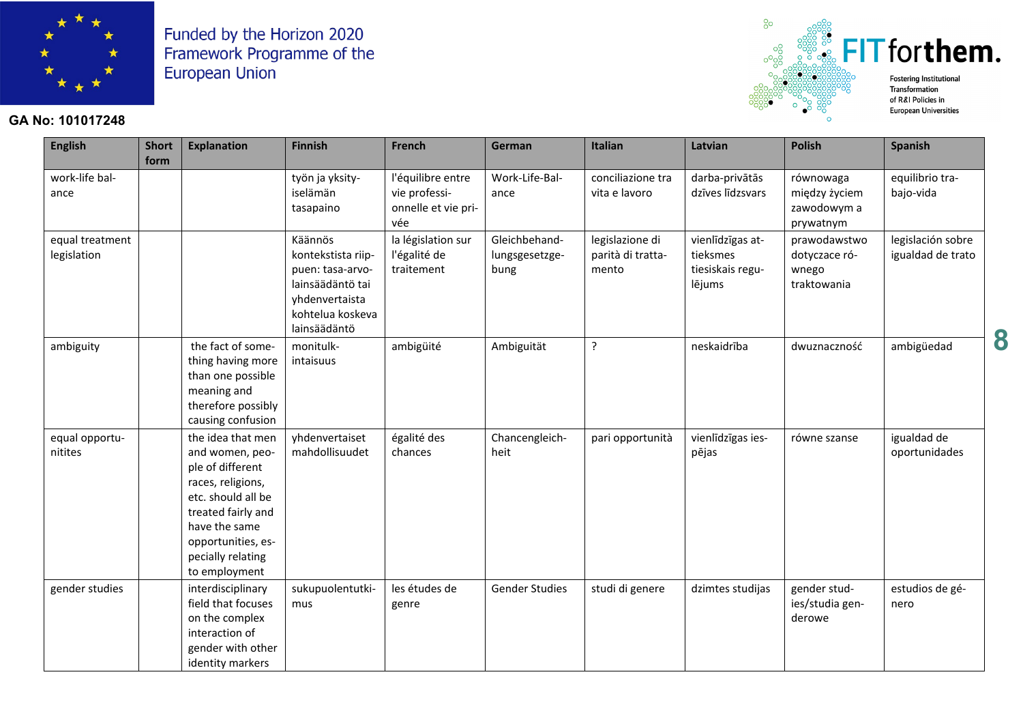

# $\frac{33}{328}$  FIT for them. **Fostering Institutional**

 $^{8}$ 

Transformation of R&I Policies in **European Universities** 

**8**

#### **GA No: 101017248**

| <b>English</b>                 | <b>Short</b><br>form | <b>Explanation</b>                                                                                                                                                                                     | <b>Finnish</b>                                                                                                              | French                                                           | German                                  | Italian                                       | Latvian                                                    | <b>Polish</b>                                          | Spanish                                |
|--------------------------------|----------------------|--------------------------------------------------------------------------------------------------------------------------------------------------------------------------------------------------------|-----------------------------------------------------------------------------------------------------------------------------|------------------------------------------------------------------|-----------------------------------------|-----------------------------------------------|------------------------------------------------------------|--------------------------------------------------------|----------------------------------------|
| work-life bal-<br>ance         |                      |                                                                                                                                                                                                        | työn ja yksity-<br>iselämän<br>tasapaino                                                                                    | l'équilibre entre<br>vie professi-<br>onnelle et vie pri-<br>vée | Work-Life-Bal-<br>ance                  | conciliazione tra<br>vita e lavoro            | darba-privātās<br>dzīves līdzsvars                         | równowaga<br>między życiem<br>zawodowym a<br>prywatnym | equilibrio tra-<br>bajo-vida           |
| equal treatment<br>legislation |                      |                                                                                                                                                                                                        | Käännös<br>kontekstista riip-<br>puen: tasa-arvo-<br>lainsäädäntö tai<br>yhdenvertaista<br>kohtelua koskeva<br>lainsäädäntö | la législation sur<br>l'égalité de<br>traitement                 | Gleichbehand-<br>lungsgesetzge-<br>bung | legislazione di<br>parità di tratta-<br>mento | vienlīdzīgas at-<br>tieksmes<br>tiesiskais regu-<br>lējums | prawodawstwo<br>dotyczace ró-<br>wnego<br>traktowania  | legislación sobre<br>igualdad de trato |
| ambiguity                      |                      | the fact of some-<br>thing having more<br>than one possible<br>meaning and<br>therefore possibly<br>causing confusion                                                                                  | monitulk-<br>intaisuus                                                                                                      | ambigüité                                                        | Ambiguität                              | ?                                             | neskaidrība                                                | dwuznaczność                                           | ambigüedad                             |
| equal opportu-<br>nitites      |                      | the idea that men<br>and women, peo-<br>ple of different<br>races, religions,<br>etc. should all be<br>treated fairly and<br>have the same<br>opportunities, es-<br>pecially relating<br>to employment | yhdenvertaiset<br>mahdollisuudet                                                                                            | égalité des<br>chances                                           | Chancengleich-<br>heit                  | pari opportunità                              | vienlīdzīgas ies-<br>pējas                                 | równe szanse                                           | igualdad de<br>oportunidades           |
| gender studies                 |                      | interdisciplinary<br>field that focuses<br>on the complex<br>interaction of<br>gender with other<br>identity markers                                                                                   | sukupuolentutki-<br>mus                                                                                                     | les études de<br>genre                                           | <b>Gender Studies</b>                   | studi di genere                               | dzimtes studijas                                           | gender stud-<br>ies/studia gen-<br>derowe              | estudios de gé-<br>nero                |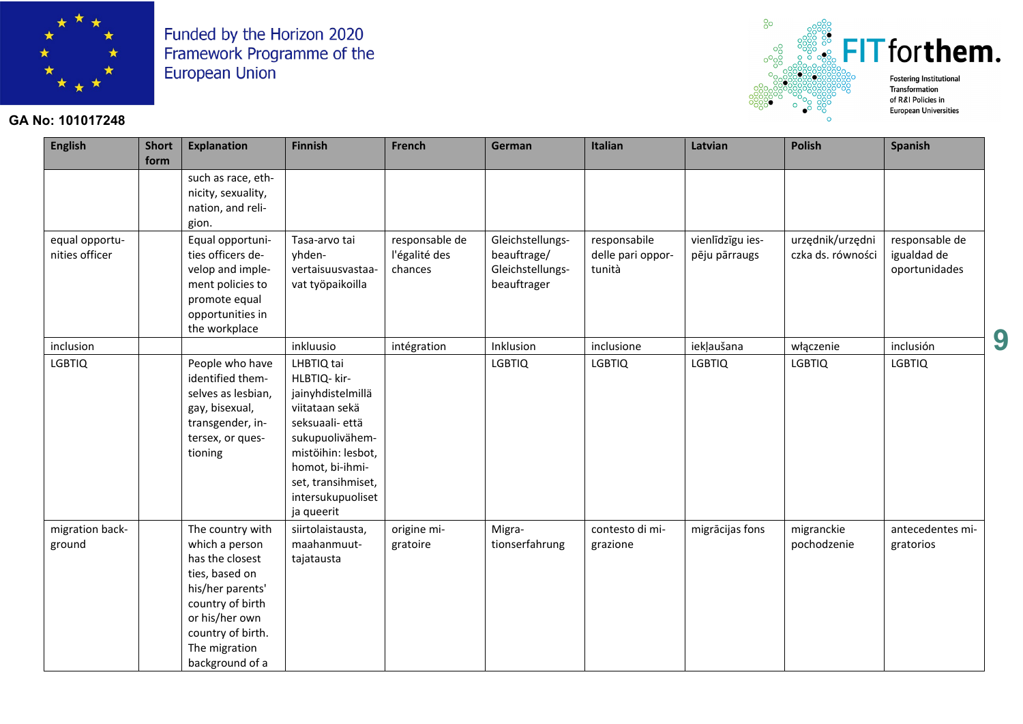

### **GA No: 101017248**



| <b>English</b>                   | <b>Short</b><br>form | <b>Explanation</b>                                                                                                                                                                         | <b>Finnish</b>                                                                                                                                                                                            | French                                     | German                                                             | <b>Italian</b>                              | Latvian                           | <b>Polish</b>                         | <b>Spanish</b>                                 |
|----------------------------------|----------------------|--------------------------------------------------------------------------------------------------------------------------------------------------------------------------------------------|-----------------------------------------------------------------------------------------------------------------------------------------------------------------------------------------------------------|--------------------------------------------|--------------------------------------------------------------------|---------------------------------------------|-----------------------------------|---------------------------------------|------------------------------------------------|
|                                  |                      | such as race, eth-<br>nicity, sexuality,<br>nation, and reli-<br>gion.                                                                                                                     |                                                                                                                                                                                                           |                                            |                                                                    |                                             |                                   |                                       |                                                |
| equal opportu-<br>nities officer |                      | Equal opportuni-<br>ties officers de-<br>velop and imple-<br>ment policies to<br>promote equal<br>opportunities in<br>the workplace                                                        | Tasa-arvo tai<br>yhden-<br>vertaisuusvastaa-<br>vat työpaikoilla                                                                                                                                          | responsable de<br>l'égalité des<br>chances | Gleichstellungs-<br>beauftrage/<br>Gleichstellungs-<br>beauftrager | responsabile<br>delle pari oppor-<br>tunità | vienlīdzīgu ies-<br>pēju pārraugs | urzędnik/urzędni<br>czka ds. równości | responsable de<br>igualdad de<br>oportunidades |
| inclusion                        |                      |                                                                                                                                                                                            | inkluusio                                                                                                                                                                                                 | intégration                                | Inklusion                                                          | inclusione                                  | iekļaušana                        | włączenie                             | inclusión                                      |
| <b>LGBTIQ</b>                    |                      | People who have<br>identified them-<br>selves as lesbian,<br>gay, bisexual,<br>transgender, in-<br>tersex, or ques-<br>tioning                                                             | LHBTIQ tai<br>HLBTIQ- kir-<br>jainyhdistelmillä<br>viitataan sekä<br>seksuaali- että<br>sukupuolivähem-<br>mistöihin: lesbot,<br>homot, bi-ihmi-<br>set, transihmiset,<br>intersukupuoliset<br>ja queerit |                                            | <b>LGBTIQ</b>                                                      | <b>LGBTIQ</b>                               | <b>LGBTIQ</b>                     | <b>LGBTIQ</b>                         | <b>LGBTIQ</b>                                  |
| migration back-<br>ground        |                      | The country with<br>which a person<br>has the closest<br>ties, based on<br>his/her parents'<br>country of birth<br>or his/her own<br>country of birth.<br>The migration<br>background of a | siirtolaistausta,<br>maahanmuut-<br>tajatausta                                                                                                                                                            | origine mi-<br>gratoire                    | Migra-<br>tionserfahrung                                           | contesto di mi-<br>grazione                 | migrācijas fons                   | migranckie<br>pochodzenie             | antecedentes mi-<br>gratorios                  |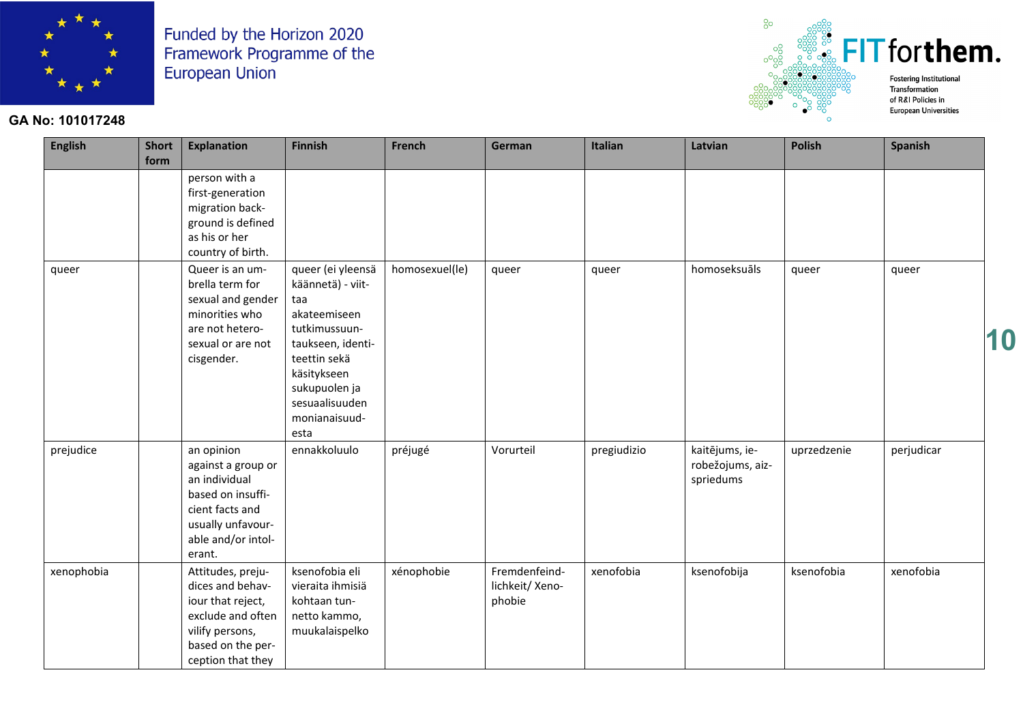

### **GA No: 101017248**



**European Universities** 

| <b>English</b> | <b>Short</b><br>form | <b>Explanation</b>                                                                                                                             | <b>Finnish</b>                                                                                                                                                                                 | French         | German                                     | Italian     | Latvian                                         | <b>Polish</b> | <b>Spanish</b> |    |
|----------------|----------------------|------------------------------------------------------------------------------------------------------------------------------------------------|------------------------------------------------------------------------------------------------------------------------------------------------------------------------------------------------|----------------|--------------------------------------------|-------------|-------------------------------------------------|---------------|----------------|----|
|                |                      | person with a<br>first-generation<br>migration back-<br>ground is defined<br>as his or her<br>country of birth.                                |                                                                                                                                                                                                |                |                                            |             |                                                 |               |                |    |
| queer          |                      | Queer is an um-<br>brella term for<br>sexual and gender<br>minorities who<br>are not hetero-<br>sexual or are not<br>cisgender.                | queer (ei yleensä<br>käännetä) - viit-<br>taa<br>akateemiseen<br>tutkimussuun-<br>taukseen, identi-<br>teettin sekä<br>käsitykseen<br>sukupuolen ja<br>sesuaalisuuden<br>monianaisuud-<br>esta | homosexuel(le) | queer                                      | queer       | homoseksuāls                                    | queer         | queer          | 10 |
| prejudice      |                      | an opinion<br>against a group or<br>an individual<br>based on insuffi-<br>cient facts and<br>usually unfavour-<br>able and/or intol-<br>erant. | ennakkoluulo                                                                                                                                                                                   | préjugé        | Vorurteil                                  | pregiudizio | kaitējums, ie-<br>robežojums, aiz-<br>spriedums | uprzedzenie   | perjudicar     |    |
| xenophobia     |                      | Attitudes, preju-<br>dices and behav-<br>iour that reject,<br>exclude and often<br>vilify persons,<br>based on the per-<br>ception that they   | ksenofobia eli<br>vieraita ihmisiä<br>kohtaan tun-<br>netto kammo,<br>muukalaispelko                                                                                                           | xénophobie     | Fremdenfeind-<br>lichkeit/ Xeno-<br>phobie | xenofobia   | ksenofobija                                     | ksenofobia    | xenofobia      |    |